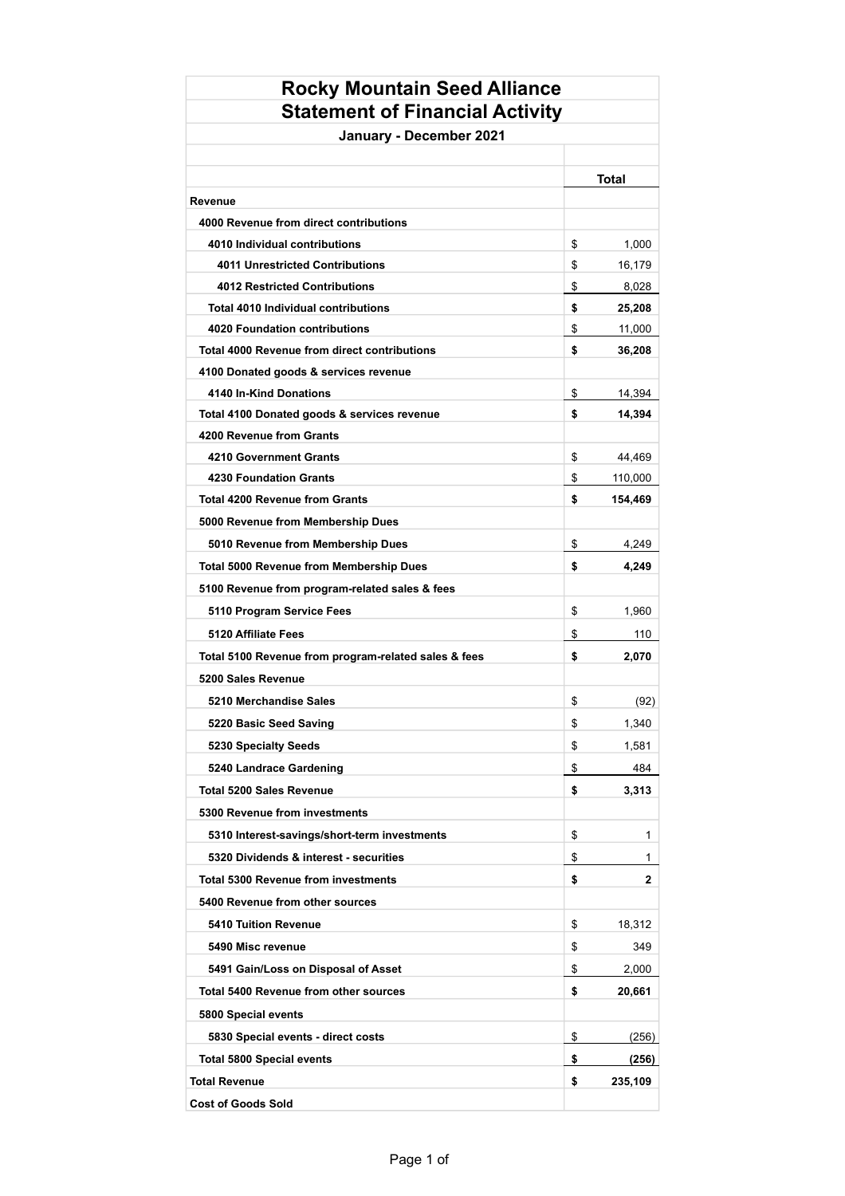| <b>Rocky Mountain Seed Alliance</b>                  |       |         |  |  |
|------------------------------------------------------|-------|---------|--|--|
| <b>Statement of Financial Activity</b>               |       |         |  |  |
| January - December 2021                              |       |         |  |  |
|                                                      |       |         |  |  |
|                                                      | Total |         |  |  |
| Revenue<br>4000 Revenue from direct contributions    |       |         |  |  |
| 4010 Individual contributions                        | \$    | 1,000   |  |  |
| <b>4011 Unrestricted Contributions</b>               | \$    | 16,179  |  |  |
| <b>4012 Restricted Contributions</b>                 | \$    | 8,028   |  |  |
| Total 4010 Individual contributions                  | \$    | 25,208  |  |  |
| <b>4020 Foundation contributions</b>                 | \$    | 11,000  |  |  |
| <b>Total 4000 Revenue from direct contributions</b>  | \$    | 36,208  |  |  |
| 4100 Donated goods & services revenue                |       |         |  |  |
| 4140 In-Kind Donations                               | \$    | 14,394  |  |  |
| Total 4100 Donated goods & services revenue          | \$    | 14,394  |  |  |
| 4200 Revenue from Grants                             |       |         |  |  |
| 4210 Government Grants                               | \$    | 44,469  |  |  |
| <b>4230 Foundation Grants</b>                        | \$    | 110,000 |  |  |
| <b>Total 4200 Revenue from Grants</b>                | \$    | 154,469 |  |  |
| 5000 Revenue from Membership Dues                    |       |         |  |  |
| 5010 Revenue from Membership Dues                    | \$    | 4,249   |  |  |
| <b>Total 5000 Revenue from Membership Dues</b>       | \$    | 4,249   |  |  |
| 5100 Revenue from program-related sales & fees       |       |         |  |  |
| 5110 Program Service Fees                            | \$    | 1,960   |  |  |
| 5120 Affiliate Fees                                  | \$    | 110     |  |  |
| Total 5100 Revenue from program-related sales & fees | \$    | 2,070   |  |  |
| 5200 Sales Revenue                                   |       |         |  |  |
| 5210 Merchandise Sales                               | \$    | (92)    |  |  |
| 5220 Basic Seed Saving                               | \$    | 1,340   |  |  |
| 5230 Specialty Seeds                                 | \$    | 1,581   |  |  |
| 5240 Landrace Gardening                              | \$    | 484     |  |  |
| <b>Total 5200 Sales Revenue</b>                      |       | 3,313   |  |  |
|                                                      | \$    |         |  |  |
| 5300 Revenue from investments                        |       |         |  |  |
| 5310 Interest-savings/short-term investments         | \$    | 1       |  |  |
| 5320 Dividends & interest - securities               | \$    | 1       |  |  |
| <b>Total 5300 Revenue from investments</b>           | \$    | 2       |  |  |
| 5400 Revenue from other sources                      |       |         |  |  |
| <b>5410 Tuition Revenue</b>                          | \$    | 18,312  |  |  |
| 5490 Misc revenue                                    | \$    | 349     |  |  |
| 5491 Gain/Loss on Disposal of Asset                  | \$    | 2,000   |  |  |
| <b>Total 5400 Revenue from other sources</b>         | \$    | 20,661  |  |  |
| 5800 Special events                                  |       |         |  |  |
| 5830 Special events - direct costs                   | \$    | (256)   |  |  |
| <b>Total 5800 Special events</b>                     | \$    | (256)   |  |  |
| <b>Total Revenue</b>                                 | \$    | 235,109 |  |  |
| <b>Cost of Goods Sold</b>                            |       |         |  |  |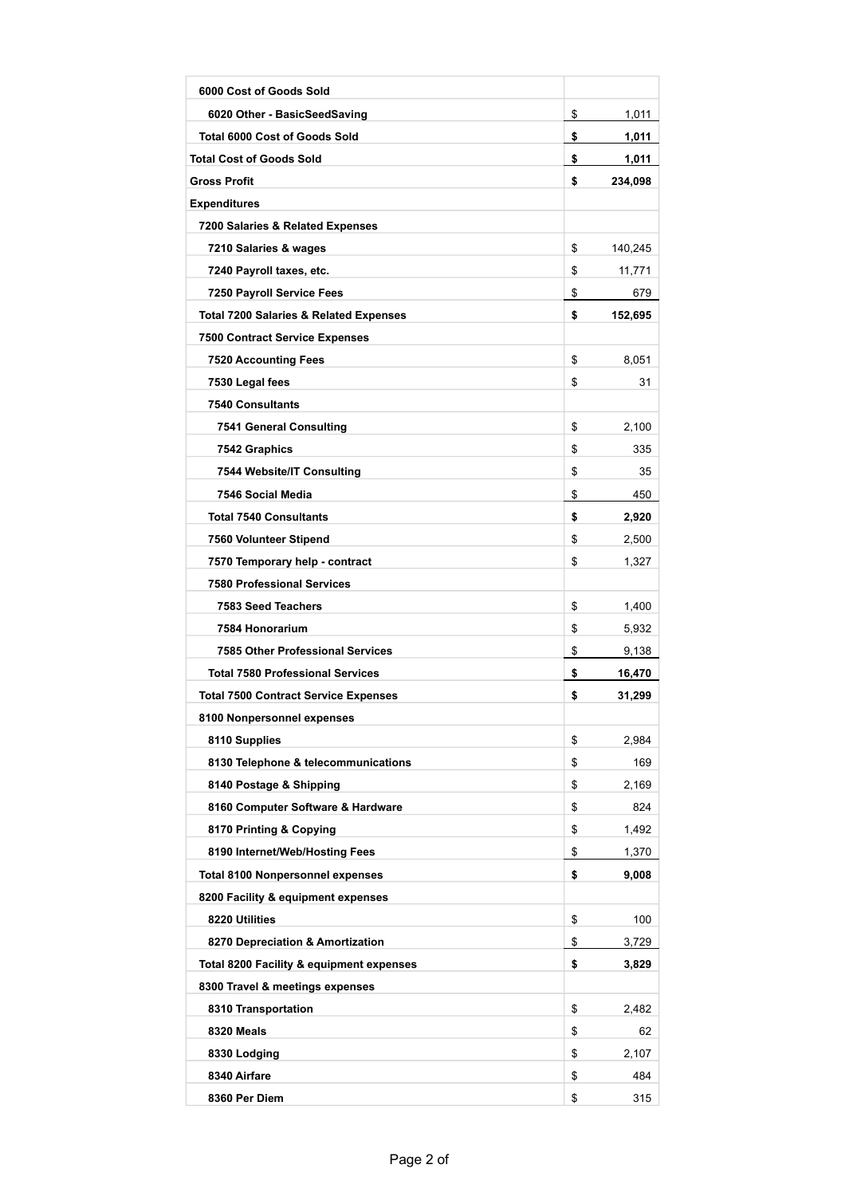| 6000 Cost of Goods Sold                           |               |
|---------------------------------------------------|---------------|
| 6020 Other - BasicSeedSaving                      | \$<br>1,011   |
| <b>Total 6000 Cost of Goods Sold</b>              | \$<br>1,011   |
| <b>Total Cost of Goods Sold</b>                   | \$<br>1,011   |
| <b>Gross Profit</b>                               | \$<br>234,098 |
| <b>Expenditures</b>                               |               |
| 7200 Salaries & Related Expenses                  |               |
| 7210 Salaries & wages                             | \$<br>140,245 |
| 7240 Payroll taxes, etc.                          | \$<br>11,771  |
| 7250 Payroll Service Fees                         | \$<br>679     |
| <b>Total 7200 Salaries &amp; Related Expenses</b> | \$<br>152,695 |
| <b>7500 Contract Service Expenses</b>             |               |
| <b>7520 Accounting Fees</b>                       | \$<br>8,051   |
| 7530 Legal fees                                   | \$<br>31      |
| <b>7540 Consultants</b>                           |               |
| <b>7541 General Consulting</b>                    | \$<br>2,100   |
| 7542 Graphics                                     | \$<br>335     |
| 7544 Website/IT Consulting                        | \$<br>35      |
| 7546 Social Media                                 | \$<br>450     |
| <b>Total 7540 Consultants</b>                     | \$<br>2,920   |
| 7560 Volunteer Stipend                            | \$<br>2,500   |
| 7570 Temporary help - contract                    | \$<br>1,327   |
| <b>7580 Professional Services</b>                 |               |
| 7583 Seed Teachers                                | \$<br>1,400   |
| 7584 Honorarium                                   | \$<br>5,932   |
| <b>7585 Other Professional Services</b>           | \$<br>9,138   |
| <b>Total 7580 Professional Services</b>           | \$<br>16,470  |
| <b>Total 7500 Contract Service Expenses</b>       | \$<br>31,299  |
| 8100 Nonpersonnel expenses                        |               |
| 8110 Supplies                                     | \$<br>2.984   |
| 8130 Telephone & telecommunications               | \$<br>169     |
| 8140 Postage & Shipping                           | \$<br>2,169   |
| 8160 Computer Software & Hardware                 | \$<br>824     |
| 8170 Printing & Copying                           | \$<br>1,492   |
| 8190 Internet/Web/Hosting Fees                    | \$<br>1,370   |
| <b>Total 8100 Nonpersonnel expenses</b>           | \$<br>9,008   |
| 8200 Facility & equipment expenses                |               |
| 8220 Utilities                                    | \$<br>100     |
| 8270 Depreciation & Amortization                  | \$<br>3,729   |
| Total 8200 Facility & equipment expenses          | \$<br>3,829   |
| 8300 Travel & meetings expenses                   |               |
| 8310 Transportation                               | \$<br>2,482   |
| 8320 Meals                                        | \$<br>62      |
| 8330 Lodging                                      | \$<br>2,107   |
| 8340 Airfare                                      | \$<br>484     |
| 8360 Per Diem                                     | \$<br>315     |